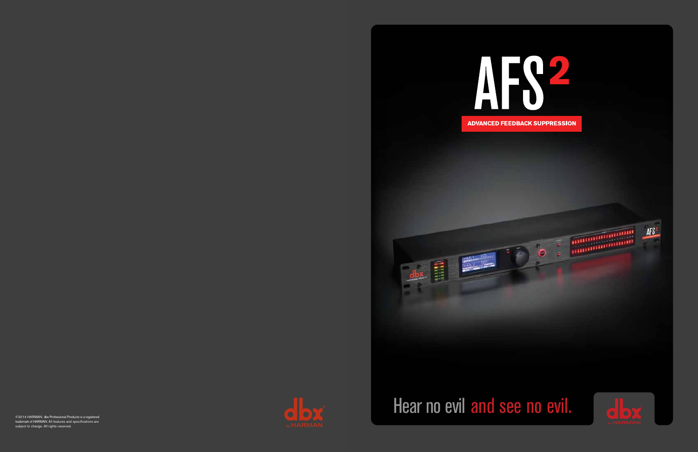



©2014 HARMAN. dbx Professional Products is a registered trademark of HARMAN. All features and specifications are subject to change. All rights reserved.